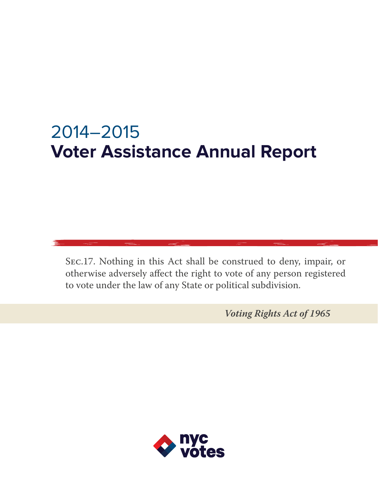# 2014–2015 **Voter Assistance Annual Report**

SEC.17. Nothing in this Act shall be construed to deny, impair, or otherwise adversely affect the right to vote of any person registered to vote under the law of any State or political subdivision.

*Voting Rights Act of 1965*

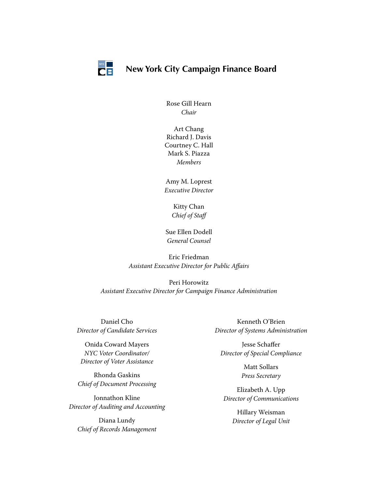

## **New York City Campaign Finance Board**

Rose Gill Hearn *Chair*

Art Chang Richard J. Davis Courtney C. Hall Mark S. Piazza *Members*

Amy M. Loprest *Executive Director*

> Kitty Chan *Chief of Staff*

Sue Ellen Dodell *General Counsel*

Eric Friedman *Assistant Executive Director for Public Affairs*

Peri Horowitz *Assistant Executive Director for Campaign Finance Administration*

Daniel Cho *Director of Candidate Services*

Onida Coward Mayers *NYC Voter Coordinator/ Director of Voter Assistance*

Rhonda Gaskins *Chief of Document Processing*

Jonnathon Kline *Director of Auditing and Accounting*

Diana Lundy *Chief of Records Management*

Kenneth O'Brien *Director of Systems Administration*

Jesse Schaffer *Director of Special Compliance*

> Matt Sollars *Press Secretary*

Elizabeth A. Upp *Director of Communications*

> Hillary Weisman *Director of Legal Unit*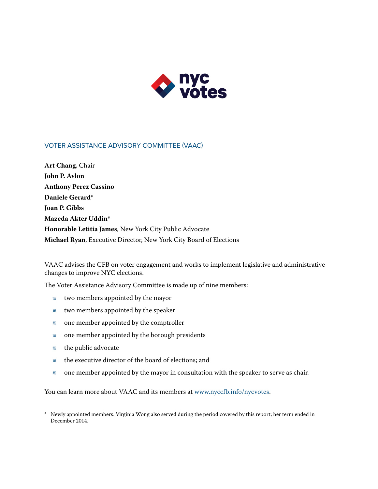

#### Voter Assistance Advisory Committee (VAAC)

**Art Chang**, Chair **John P. Avlon Anthony Perez Cassino Daniele Gerard\* Joan P. Gibbs Mazeda Akter Uddin\* Honorable Letitia James**, New York City Public Advocate **Michael Ryan**, Executive Director, New York City Board of Elections

VAAC advises the CFB on voter engagement and works to implement legislative and administrative changes to improve NYC elections.

The Voter Assistance Advisory Committee is made up of nine members:

- Λ two members appointed by the mayor
- « two members appointed by the speaker
- « one member appointed by the comptroller
- « one member appointed by the borough presidents
- Λ the public advocate
- « the executive director of the board of elections; and
- « one member appointed by the mayor in consultation with the speaker to serve as chair.

You can learn more about VAAC and its members at [www.nyccfb.info/nycvotes](http://www.nyccfb.info/public/VRC/voterAssistanceAndResources.aspx).

\* Newly appointed members. Virginia Wong also served during the period covered by this report; her term ended in December 2014.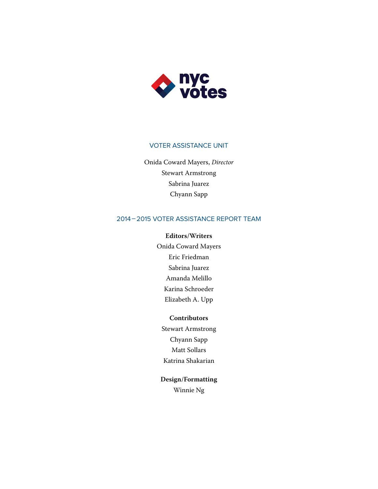

#### VOTER ASSISTANCE UNIT

Onida Coward Mayers, *Director* Stewart Armstrong Sabrina Juarez Chyann Sapp

#### 2014–2015 Voter Assistance Report Team

#### **Editors/Writers**

Onida Coward Mayers Eric Friedman Sabrina Juarez Amanda Melillo Karina Schroeder Elizabeth A. Upp

#### **Contributors**

Stewart Armstrong Chyann Sapp Matt Sollars Katrina Shakarian

# **Design/Formatting**

Winnie Ng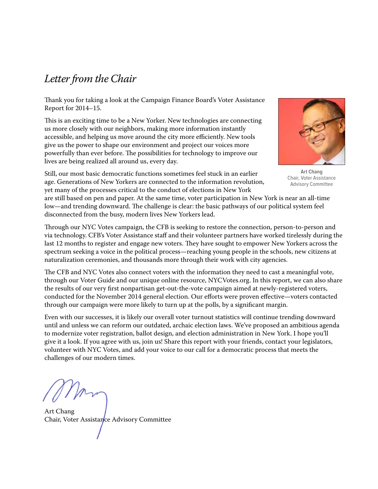# *Letter from the Chair*

Thank you for taking a look at the Campaign Finance Board's Voter Assistance Report for 2014–15.

This is an exciting time to be a New Yorker. New technologies are connecting us more closely with our neighbors, making more information instantly accessible, and helping us move around the city more efficiently. New tools give us the power to shape our environment and project our voices more powerfully than ever before. The possibilities for technology to improve our lives are being realized all around us, every day.



**Art Chang** Chair, Voter Assistance Advisory Committee

Still, our most basic democratic functions sometimes feel stuck in an earlier age. Generations of New Yorkers are connected to the information revolution, yet many of the processes critical to the conduct of elections in New York

are still based on pen and paper. At the same time, voter participation in New York is near an all-time low—and trending downward. The challenge is clear: the basic pathways of our political system feel disconnected from the busy, modern lives New Yorkers lead.

Through our NYC Votes campaign, the CFB is seeking to restore the connection, person-to-person and via technology. CFB's Voter Assistance staff and their volunteer partners have worked tirelessly during the last 12 months to register and engage new voters. They have sought to empower New Yorkers across the spectrum seeking a voice in the political process—reaching young people in the schools, new citizens at naturalization ceremonies, and thousands more through their work with city agencies.

The CFB and NYC Votes also connect voters with the information they need to cast a meaningful vote, through our Voter Guide and our unique online resource, NYCVotes.org. In this report, we can also share the results of our very first nonpartisan get-out-the-vote campaign aimed at newly-registered voters, conducted for the November 2014 general election. Our efforts were proven effective—voters contacted through our campaign were more likely to turn up at the polls, by a significant margin.

Even with our successes, it is likely our overall voter turnout statistics will continue trending downward until and unless we can reform our outdated, archaic election laws. We've proposed an ambitious agenda to modernize voter registration, ballot design, and election administration in New York. I hope you'll give it a look. If you agree with us, join us! Share this report with your friends, contact your legislators, volunteer with NYC Votes, and add your voice to our call for a democratic process that meets the challenges of our modern times.

Art Chang Chair, Voter Assistance Advisory Committee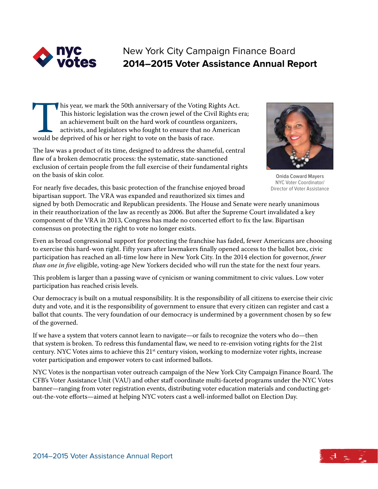

# New York City Campaign Finance Board **2014–2015 Voter Assistance Annual Report**

This year, we mark the 50th anniversary of the Voting Rights Act.<br>This historic legislation was the crown jewel of the Civil Rights e<br>an achievement built on the hard work of countless organizers,<br>activists, and legislator This historic legislation was the crown jewel of the Civil Rights era; an achievement built on the hard work of countless organizers, activists, and legislators who fought to ensure that no American would be deprived of his or her right to vote on the basis of race.

The law was a product of its time, designed to address the shameful, central flaw of a broken democratic process: the systematic, state-sanctioned exclusion of certain people from the full exercise of their fundamental rights on the basis of skin color.



**Onida Coward Mayers** NYC Voter Coordinator/ Director of Voter Assistance

For nearly five decades, this basic protection of the franchise enjoyed broad bipartisan support. The VRA was expanded and reauthorized six times and

signed by both Democratic and Republican presidents. The House and Senate were nearly unanimous in their reauthorization of the law as recently as 2006. But after the Supreme Court invalidated a key component of the VRA in 2013, Congress has made no concerted effort to fix the law. Bipartisan consensus on protecting the right to vote no longer exists.

Even as broad congressional support for protecting the franchise has faded, fewer Americans are choosing to exercise this hard-won right. Fifty years after lawmakers finally opened access to the ballot box, civic participation has reached an all-time low here in New York City. In the 2014 election for governor, *fewer than one in five* eligible, voting-age New Yorkers decided who will run the state for the next four years.

This problem is larger than a passing wave of cynicism or waning commitment to civic values. Low voter participation has reached crisis levels.

Our democracy is built on a mutual responsibility. It is the responsibility of all citizens to exercise their civic duty and vote, and it is the responsibility of government to ensure that every citizen can register and cast a ballot that counts. The very foundation of our democracy is undermined by a government chosen by so few of the governed.

If we have a system that voters cannot learn to navigate—or fails to recognize the voters who do—then that system is broken. To redress this fundamental flaw, we need to re-envision voting rights for the 21st century. NYC Votes aims to achieve this 21<sup>st</sup> century vision, working to modernize voter rights, increase voter participation and empower voters to cast informed ballots.

NYC Votes is the nonpartisan voter outreach campaign of the New York City Campaign Finance Board. The CFB's Voter Assistance Unit (VAU) and other staff coordinate multi-faceted programs under the NYC Votes banner—ranging from voter registration events, distributing voter education materials and conducting getout-the-vote efforts—aimed at helping NYC voters cast a well-informed ballot on Election Day.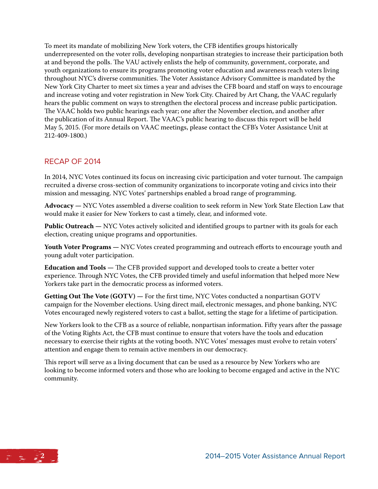To meet its mandate of mobilizing New York voters, the CFB identifies groups historically underrepresented on the voter rolls, developing nonpartisan strategies to increase their participation both at and beyond the polls. The VAU actively enlists the help of community, government, corporate, and youth organizations to ensure its programs promoting voter education and awareness reach voters living throughout NYC's diverse communities. The Voter Assistance Advisory Committee is mandated by the New York City Charter to meet six times a year and advises the CFB board and staff on ways to encourage and increase voting and voter registration in New York City. Chaired by Art Chang, the VAAC regularly hears the public comment on ways to strengthen the electoral process and increase public participation. The VAAC holds two public hearings each year; one after the November election, and another after the publication of its Annual Report. The VAAC's public hearing to discuss this report will be held May 5, 2015. (For more details on VAAC meetings, please contact the CFB's Voter Assistance Unit at 212-409-1800.)

#### Recap of 2014

In 2014, NYC Votes continued its focus on increasing civic participation and voter turnout. The campaign recruited a diverse cross-section of community organizations to incorporate voting and civics into their mission and messaging. NYC Votes' partnerships enabled a broad range of programming.

**Advocacy —** NYC Votes assembled a diverse coalition to seek reform in New York State Election Law that would make it easier for New Yorkers to cast a timely, clear, and informed vote.

**Public Outreach —** NYC Votes actively solicited and identified groups to partner with its goals for each election, creating unique programs and opportunities.

**Youth Voter Programs —** NYC Votes created programming and outreach efforts to encourage youth and young adult voter participation.

**Education and Tools —** The CFB provided support and developed tools to create a better voter experience. Through NYC Votes, the CFB provided timely and useful information that helped more New Yorkers take part in the democratic process as informed voters.

**Getting Out The Vote (GOTV) —** For the first time, NYC Votes conducted a nonpartisan GOTV campaign for the November elections. Using direct mail, electronic messages, and phone banking, NYC Votes encouraged newly registered voters to cast a ballot, setting the stage for a lifetime of participation.

New Yorkers look to the CFB as a source of reliable, nonpartisan information. Fifty years after the passage of the Voting Rights Act, the CFB must continue to ensure that voters have the tools and education necessary to exercise their rights at the voting booth. NYC Votes' messages must evolve to retain voters' attention and engage them to remain active members in our democracy.

This report will serve as a living document that can be used as a resource by New Yorkers who are looking to become informed voters and those who are looking to become engaged and active in the NYC community.

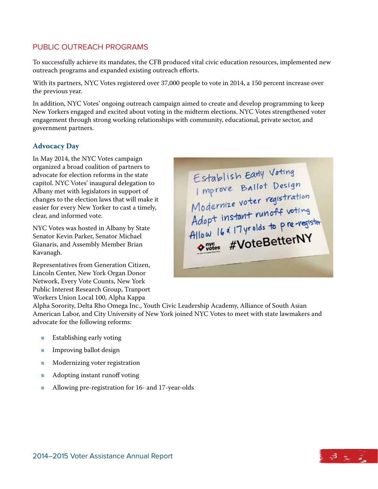### Public Outreach Programs

To successfully achieve its mandates, the CFB produced vital civic education resources, implemented new outreach programs and expanded existing outreach efforts.

With its partners, NYC Votes registered over 37,000 people to vote in 2014, a 150 percent increase over the previous year.

In addition, NYC Votes' ongoing outreach campaign aimed to create and develop programming to keep New Yorkers engaged and excited about voting in the midterm elections. NYC Votes strengthened voter engagement through strong working relationships with community, educational, private sector, and government partners.

#### **Advocacy Day**

In May 2014, the NYC Votes campaign organized a broad coalition of partners to advocate for election reforms in the state capitol. NYC Votes' inaugural delegation to Albany met with legislators in support of changes to the election laws that will make it easier for every New Yorker to cast a timely, clear, and informed vote.

NYC Votes was hosted in Albany by State Senator Kevin Parker, Senator Michael Gianaris, and Assembly Member Brian Kavanagh.

Representatives from Generation Citizen, Lincoln Center, New York Organ Donor Network, Every Vote Counts, New York Public Interest Research Group, Tranport Workers Union Local 100, Alpha Kappa

Alpha Sorority, Delta Rho Omega Inc., Youth Civic Leadership Academy, Alliance of South Asian American Labor, and City University of New York joined NYC Votes to meet with state lawmakers and advocate for the following reforms:

- *«* Establishing early voting
- Λ Improving ballot design
- Λ Modernizing voter registration
- Λ Adopting instant runoff voting
- Λ Allowing pre-registration for 16- and 17-year-olds

Establish Early Voting Establish Early Voting<br>
Improve Ballot Design<br>
Modernize voter registration<br>
Adopt instant runoff voting<br>
Adopt instant runoff voting<br>
Allow 16: 17 yrolds to pre-register<br>
Allow 16: 17 yrolds to pre-register Outles #VoteBetterNY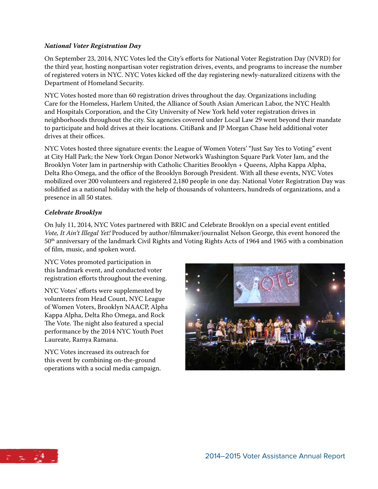#### *National Voter Registration Day*

On September 23, 2014, NYC Votes led the City's efforts for National Voter Registration Day (NVRD) for the third year, hosting nonpartisan voter registration drives, events, and programs to increase the number of registered voters in NYC. NYC Votes kicked off the day registering newly-naturalized citizens with the Department of Homeland Security.

NYC Votes hosted more than 60 registration drives throughout the day. Organizations including Care for the Homeless, Harlem United, the Alliance of South Asian American Labor, the NYC Health and Hospitals Corporation, and the City University of New York held voter registration drives in neighborhoods throughout the city. Six agencies covered under Local Law 29 went beyond their mandate to participate and hold drives at their locations. CitiBank and JP Morgan Chase held additional voter drives at their offices.

NYC Votes hosted three signature events: the League of Women Voters' "Just Say Yes to Voting" event at City Hall Park; the New York Organ Donor Network's Washington Square Park Voter Jam, and the Brooklyn Voter Jam in partnership with Catholic Charities Brooklyn + Queens, Alpha Kappa Alpha, Delta Rho Omega, and the office of the Brooklyn Borough President. With all these events, NYC Votes mobilized over 200 volunteers and registered 2,180 people in one day. National Voter Registration Day was solidified as a national holiday with the help of thousands of volunteers, hundreds of organizations, and a presence in all 50 states.

#### *Celebrate Brooklyn*

On July 11, 2014, NYC Votes partnered with BRIC and Celebrate Brooklyn on a special event entitled *Vote, It Ain't Illegal Yet!* Produced by author/filmmaker/journalist Nelson George, this event honored the 50th anniversary of the landmark Civil Rights and Voting Rights Acts of 1964 and 1965 with a combination of film, music, and spoken word.

NYC Votes promoted participation in this landmark event, and conducted voter registration efforts throughout the evening.

NYC Votes' efforts were supplemented by volunteers from Head Count, NYC League of Women Voters, Brooklyn NAACP, Alpha Kappa Alpha, Delta Rho Omega, and Rock The Vote. The night also featured a special performance by the 2014 NYC Youth Poet Laureate, Ramya Ramana.

NYC Votes increased its outreach for this event by combining on-the-ground operations with a social media campaign.



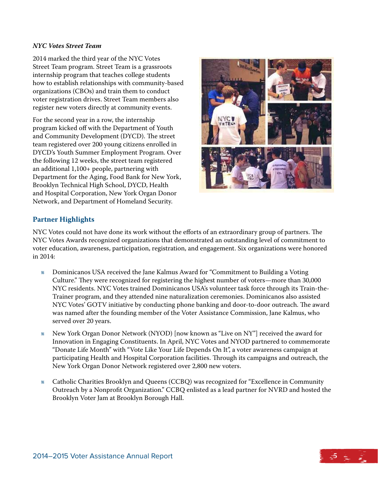#### *NYC Votes Street Team*

2014 marked the third year of the NYC Votes Street Team program. Street Team is a grassroots internship program that teaches college students how to establish relationships with community-based organizations (CBOs) and train them to conduct voter registration drives. Street Team members also register new voters directly at community events.

For the second year in a row, the internship program kicked off with the Department of Youth and Community Development (DYCD). The street team registered over 200 young citizens enrolled in DYCD's Youth Summer Employment Program. Over the following 12 weeks, the street team registered an additional 1,100+ people, partnering with Department for the Aging, Food Bank for New York, Brooklyn Technical High School, DYCD, Health and Hospital Corporation, New York Organ Donor Network, and Department of Homeland Security.



#### **Partner Highlights**

NYC Votes could not have done its work without the efforts of an extraordinary group of partners. The NYC Votes Awards recognized organizations that demonstrated an outstanding level of commitment to voter education, awareness, participation, registration, and engagement. Six organizations were honored in 2014:

- *«* Dominicanos USA received the Jane Kalmus Award for "Commitment to Building a Voting Culture." They were recognized for registering the highest number of voters—more than 30,000 NYC residents. NYC Votes trained Dominicanos USA's volunteer task force through its Train-the-Trainer program, and they attended nine naturalization ceremonies. Dominicanos also assisted NYC Votes' GOTV initiative by conducting phone banking and door-to-door outreach. The award was named after the founding member of the Voter Assistance Commission, Jane Kalmus, who served over 20 years.
- Λ New York Organ Donor Network (NYOD) [now known as "Live on NY"] received the award for Innovation in Engaging Constituents. In April, NYC Votes and NYOD partnered to commemorate "Donate Life Month" with "Vote Like Your Life Depends On It", a voter awareness campaign at participating Health and Hospital Corporation facilities. Through its campaigns and outreach, the New York Organ Donor Network registered over 2,800 new voters.
- « Catholic Charities Brooklyn and Queens (CCBQ) was recognized for "Excellence in Community Outreach by a Nonprofit Organization." CCBQ enlisted as a lead partner for NVRD and hosted the Brooklyn Voter Jam at Brooklyn Borough Hall.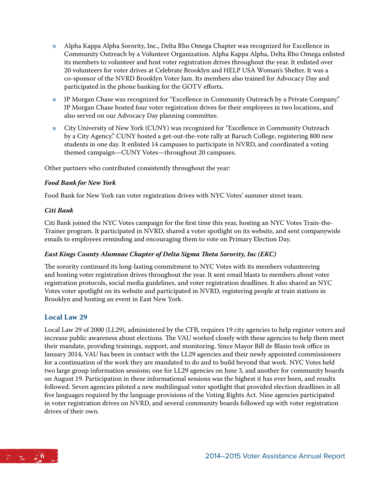- Λ Alpha Kappa Alpha Sorority, Inc., Delta Rho Omega Chapter was recognized for Excellence in Community Outreach by a Volunteer Organization. Alpha Kappa Alpha, Delta Rho Omega enlisted its members to volunteer and host voter registration drives throughout the year. It enlisted over 20 volunteers for voter drives at Celebrate Brooklyn and HELP USA Woman's Shelter. It was a co-sponsor of the NVRD Brooklyn Voter Jam. Its members also trained for Advocacy Day and participated in the phone banking for the GOTV efforts.
- Λ JP Morgan Chase was recognized for "Excellence in Community Outreach by a Private Company." JP Morgan Chase hosted four voter registration drives for their employees in two locations, and also served on our Advocacy Day planning committee.
- K City University of New York (CUNY) was recognized for "Excellence in Community Outreach by a City Agency." CUNY hosted a get-out-the-vote rally at Baruch College, registering 800 new students in one day. It enlisted 14 campuses to participate in NVRD, and coordinated a voting themed campaign—CUNY Votes—throughout 20 campuses.

Other partners who contributed consistently throughout the year:

#### *Food Bank for New York*

Food Bank for New York ran voter registration drives with NYC Votes' summer street team.

#### *Citi Bank*

Citi Bank joined the NYC Votes campaign for the first time this year, hosting an NYC Votes Train-the-Trainer program. It participated in NVRD, shared a voter spotlight on its website, and sent companywide emails to employees reminding and encouraging them to vote on Primary Election Day.

#### *East Kings County Alumnae Chapter of Delta Sigma Theta Sorority, Inc (EKC)*

The sorority continued its long-lasting commitment to NYC Votes with its members volunteering and hosting voter registration drives throughout the year. It sent email blasts to members about voter registration protocols, social media guidelines, and voter registration deadlines. It also shared an NYC Votes voter spotlight on its website and participated in NVRD, registering people at train stations in Brooklyn and hosting an event in East New York.

#### **Local Law 29**

Local Law 29 of 2000 (LL29), administered by the CFB, requires 19 city agencies to help register voters and increase public awareness about elections. The VAU worked closely with these agencies to help them meet their mandate, providing trainings, support, and monitoring. Since Mayor Bill de Blasio took office in January 2014, VAU has been in contact with the LL29 agencies and their newly appointed commissioners for a continuation of the work they are mandated to do and to build beyond that work. NYC Votes held two large group information sessions; one for LL29 agencies on June 3, and another for community boards on August 19. Participation in these informational sessions was the highest it has ever been, and results followed. Seven agencies piloted a new multilingual voter spotlight that provided election deadlines in all five languages required by the language provisions of the Voting Rights Act. Nine agencies participated in voter registration drives on NVRD, and several community boards followed up with voter registration drives of their own.

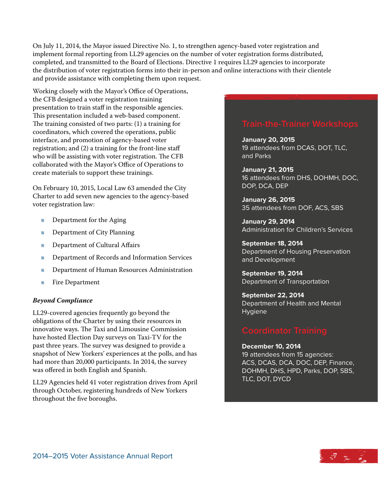On July 11, 2014, the Mayor issued Directive No. 1, to strengthen agency-based voter registration and implement formal reporting from LL29 agencies on the number of voter registration forms distributed, completed, and transmitted to the Board of Elections. Directive 1 requires LL29 agencies to incorporate the distribution of voter registration forms into their in-person and online interactions with their clientele and provide assistance with completing them upon request.

Working closely with the Mayor's Office of Operations, the CFB designed a voter registration training presentation to train staff in the responsible agencies. This presentation included a web-based component. The training consisted of two parts: (1) a training for coordinators, which covered the operations, public interface, and promotion of agency-based voter registration; and (2) a training for the front-line staff who will be assisting with voter registration. The CFB collaborated with the Mayor's Office of Operations to create materials to support these trainings.

On February 10, 2015, Local Law 63 amended the City Charter to add seven new agencies to the agency-based voter registration law:

- Λ Department for the Aging
- Λ Department of City Planning
- Λ Department of Cultural Affairs
- Λ Department of Records and Information Services
- Λ Department of Human Resources Administration
- Λ Fire Department

#### *Beyond Compliance*

LL29-covered agencies frequently go beyond the obligations of the Charter by using their resources in innovative ways. The Taxi and Limousine Commission have hosted Election Day surveys on Taxi-TV for the past three years. The survey was designed to provide a snapshot of New Yorkers' experiences at the polls, and has had more than 20,000 participants. In 2014, the survey was offered in both English and Spanish.

LL29 Agencies held 41 voter registration drives from April through October, registering hundreds of New Yorkers throughout the five boroughs.

**January 20, 2015** 19 attendees from DCAS, DOT, TLC, and Parks

**January 21, 2015** 16 attendees from DHS, DOHMH, DOC, DOP, DCA, DEP

**January 26, 2015** 35 attendees from DOF, ACS, SBS

**January 29, 2014** Administration for Children's Services

**September 18, 2014** Department of Housing Preservation and Development

**September 19, 2014** Department of Transportation

**September 22, 2014** Department of Health and Mental Hygiene

#### **December 10, 2014**

19 attendees from 15 agencies: ACS, DCAS, DCA, DOC, DEP, Finance, DOHMH, DHS, HPD, Parks, DOP, SBS, TLC, DOT, DYCD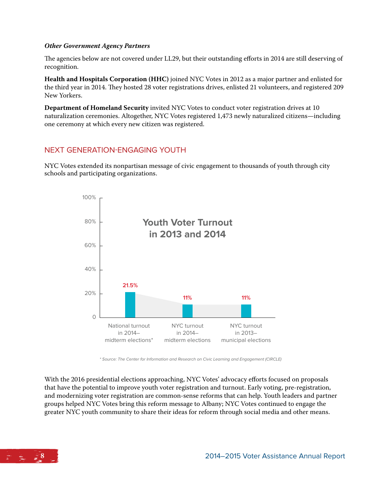#### *Other Government Agency Partners*

The agencies below are not covered under LL29, but their outstanding efforts in 2014 are still deserving of recognition.

**Health and Hospitals Corporation (HHC)** joined NYC Votes in 2012 as a major partner and enlisted for the third year in 2014. They hosted 28 voter registrations drives, enlisted 21 volunteers, and registered 209 New Yorkers.

**Department of Homeland Security** invited NYC Votes to conduct voter registration drives at 10 naturalization ceremonies. Altogether, NYC Votes registered 1,473 newly naturalized citizens—including one ceremony at which every new citizen was registered.

#### Next Generation-Engaging Youth

NYC Votes extended its nonpartisan message of civic engagement to thousands of youth through city schools and participating organizations.



\* Source: The Center for Information and Research on Civic Learning and Engagement (CIRCLE)

With the 2016 presidential elections approaching, NYC Votes' advocacy efforts focused on proposals that have the potential to improve youth voter registration and turnout. Early voting, pre-registration, and modernizing voter registration are common-sense reforms that can help. Youth leaders and partner groups helped NYC Votes bring this reform message to Albany; NYC Votes continued to engage the greater NYC youth community to share their ideas for reform through social media and other means.

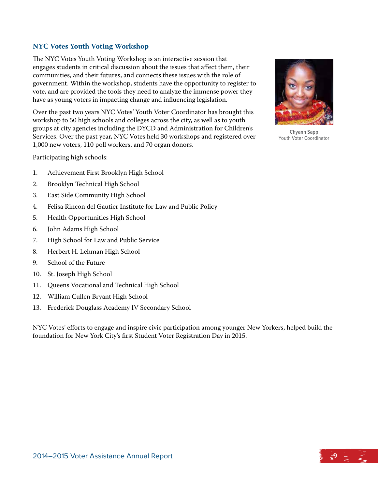#### **NYC Votes Youth Voting Workshop**

The NYC Votes Youth Voting Workshop is an interactive session that engages students in critical discussion about the issues that affect them, their communities, and their futures, and connects these issues with the role of government. Within the workshop, students have the opportunity to register to vote, and are provided the tools they need to analyze the immense power they have as young voters in impacting change and influencing legislation.

Over the past two years NYC Votes' Youth Voter Coordinator has brought this workshop to 50 high schools and colleges across the city, as well as to youth groups at city agencies including the DYCD and Administration for Children's Services. Over the past year, NYC Votes held 30 workshops and registered over 1,000 new voters, 110 poll workers, and 70 organ donors.

Participating high schools:

- 1. Achievement First Brooklyn High School
- 2. Brooklyn Technical High School
- 3. East Side Community High School
- 4. Felisa Rincon del Gautier Institute for Law and Public Policy
- 5. Health Opportunities High School
- 6. John Adams High School
- 7. High School for Law and Public Service
- 8. Herbert H. Lehman High School
- 9. School of the Future
- 10. St. Joseph High School
- 11. Queens Vocational and Technical High School
- 12. William Cullen Bryant High School
- 13. Frederick Douglass Academy IV Secondary School

NYC Votes' efforts to engage and inspire civic participation among younger New Yorkers, helped build the foundation for New York City's first Student Voter Registration Day in 2015.



**Chyann Sapp** Youth Voter Coordinator

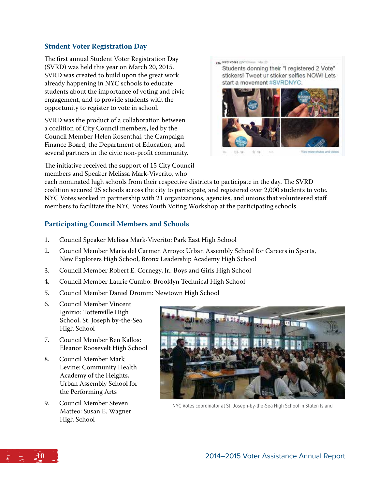#### **Student Voter Registration Day**

The first annual Student Voter Registration Day (SVRD) was held this year on March 20, 2015. SVRD was created to build upon the great work already happening in NYC schools to educate students about the importance of voting and civic engagement, and to provide students with the opportunity to register to vote in school.

SVRD was the product of a collaboration between a coalition of City Council members, led by the Council Member Helen Rosenthal, the Campaign Finance Board, the Department of Education, and several partners in the civic non-profit community.

The initiative received the support of 15 City Council members and Speaker Melissa Mark-Viverito, who

. NYC Votes (pNYCVotes Mar.20)

Students donning their "I registered 2 Vote" stickers! Tweet ur sticker selfies NOW! Lets start a movement #SVRDNYC.



 $-1 - 15$ 

each nominated high schools from their respective districts to participate in the day. The SVRD coalition secured 25 schools across the city to participate, and registered over 2,000 students to vote. NYC Votes worked in partnership with 21 organizations, agencies, and unions that volunteered staff members to facilitate the NYC Votes Youth Voting Workshop at the participating schools.

#### **Participating Council Members and Schools**

- 1. Council Speaker Melissa Mark-Viverito: Park East High School
- 2. Council Member Maria del Carmen Arroyo: Urban Assembly School for Careers in Sports, New Explorers High School, Bronx Leadership Academy High School
- 3. Council Member Robert E. Cornegy, Jr.: Boys and Girls High School
- 4. Council Member Laurie Cumbo: Brooklyn Technical High School
- 5. Council Member Daniel Dromm: Newtown High School
- 6. Council Member Vincent Ignizio: Tottenville High School, St. Joseph by-the-Sea High School
- 7. Council Member Ben Kallos: Eleanor Roosevelt High School
- 8. Council Member Mark Levine: Community Health Academy of the Heights, Urban Assembly School for the Performing Arts
- 9. Council Member Steven Matteo: Susan E. Wagner High School



NYC Votes coordinator at St. Joseph-by-the-Sea High School in Staten Island

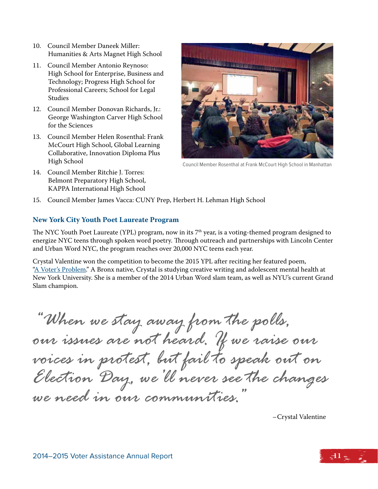- 10. Council Member Daneek Miller: Humanities & Arts Magnet High School
- 11. Council Member Antonio Reynoso: High School for Enterprise, Business and Technology; Progress High School for Professional Careers; School for Legal Studies
- 12. Council Member Donovan Richards, Jr.: George Washington Carver High School for the Sciences
- 13. Council Member Helen Rosenthal: Frank McCourt High School, Global Learning Collaborative, Innovation Diploma Plus High School
- 14. Council Member Ritchie J. Torres: Belmont Preparatory High School, KAPPA International High School



Council Member Rosenthal at Frank McCourt High School in Manhattan

15. Council Member James Vacca: CUNY Prep, Herbert H. Lehman High School

#### **New York City Youth Poet Laureate Program**

The NYC Youth Poet Laureate (YPL) program, now in its 7th year, is a voting-themed program designed to energize NYC teens through spoken word poetry. Through outreach and partnerships with Lincoln Center and Urban Word NYC, the program reaches over 20,000 NYC teens each year.

Crystal Valentine won the competition to become the 2015 YPL after reciting her featured poem, ["A Voter's Problem."](http://www.nyccfb.info/public/VRC/crystal.aspx) A Bronx native, Crystal is studying creative writing and adolescent mental health at New York University. She is a member of the 2014 Urban Word slam team, as well as NYU's current Grand Slam champion.

*"When we stay away from the polls, our issues are not heard. If we raise our voices in protest, but fail to speak out on Election Day, we'll never see the changes we need in our communities."*

–Crystal Valentine

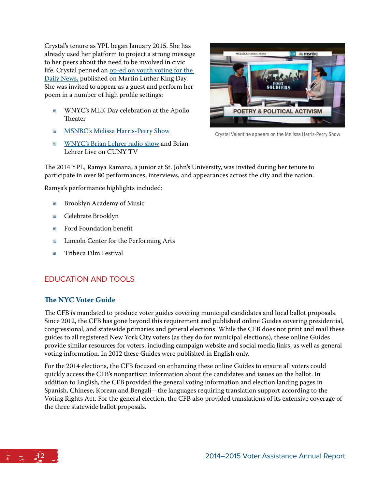Crystal's tenure as YPL began January 2015. She has already used her platform to project a strong message to her peers about the need to be involved in civic life. Crystal penned an [op-ed on youth voting for the](http://www.nydailynews.com/opinion/crystal-valentine-black-lives-matter-vote-true-article-1.2081822)  [Daily News,](http://www.nydailynews.com/opinion/crystal-valentine-black-lives-matter-vote-true-article-1.2081822) published on Martin Luther King Day. She was invited to appear as a guest and perform her poem in a number of high profile settings:

- Λ WNYC's MLK Day celebration at the Apollo **Theater**
- *« [MSNBC's Melissa Harris-Perry Show](http://t.co/IHatIpRsFz)*
- Λ [WNYC's Brian Lehrer radio show](http://www.wnyc.org/story/youth-poets-call-action/) and Brian Lehrer Live on CUNY TV



Crystal Valentine appears on the Melissa Harris-Perry Show

The 2014 YPL, Ramya Ramana, a junior at St. John's University, was invited during her tenure to participate in over 80 performances, interviews, and appearances across the city and the nation.

Ramya's performance highlights included:

- Λ Brooklyn Academy of Music
- Λ Celebrate Brooklyn
- Λ Ford Foundation benefit
- Lincoln Center for the Performing Arts
- Λ Tribeca Film Festival

### Education and Tools

#### **The NYC Voter Guide**

The CFB is mandated to produce voter guides covering municipal candidates and local ballot proposals. Since 2012, the CFB has gone beyond this requirement and published online Guides covering presidential, congressional, and statewide primaries and general elections. While the CFB does not print and mail these guides to all registered New York City voters (as they do for municipal elections), these online Guides provide similar resources for voters, including campaign website and social media links, as well as general voting information. In 2012 these Guides were published in English only.

For the 2014 elections, the CFB focused on enhancing these online Guides to ensure all voters could quickly access the CFB's nonpartisan information about the candidates and issues on the ballot. In addition to English, the CFB provided the general voting information and election landing pages in Spanish, Chinese, Korean and Bengali—the languages requiring translation support according to the Voting Rights Act. For the general election, the CFB also provided translations of its extensive coverage of the three statewide ballot proposals.

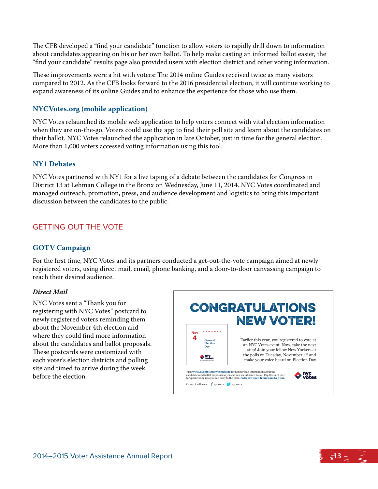The CFB developed a "find your candidate" function to allow voters to rapidly drill down to information about candidates appearing on his or her own ballot. To help make casting an informed ballot easier, the "find your candidate" results page also provided users with election district and other voting information.

These improvements were a hit with voters: The 2014 online Guides received twice as many visitors compared to 2012. As the CFB looks forward to the 2016 presidential election, it will continue working to expand awareness of its online Guides and to enhance the experience for those who use them.

#### **NYCVotes.org (mobile application)**

NYC Votes relaunched its mobile web application to help voters connect with vital election information when they are on-the-go. Voters could use the app to find their poll site and learn about the candidates on their ballot. NYC Votes relaunched the application in late October, just in time for the general election. More than 1,000 voters accessed voting information using this tool.

#### **NY1 Debates**

NYC Votes partnered with NY1 for a live taping of a debate between the candidates for Congress in District 13 at Lehman College in the Bronx on Wednesday, June 11, 2014. NYC Votes coordinated and managed outreach, promotion, press, and audience development and logistics to bring this important discussion between the candidates to the public.

#### Getting Out The Vote

#### **GOTV Campaign**

For the first time, NYC Votes and its partners conducted a get-out-the-vote campaign aimed at newly registered voters, using direct mail, email, phone banking, and a door-to-door canvassing campaign to reach their desired audience.

#### *Direct Mail*

NYC Votes sent a "Thank you for registering with NYC Votes" postcard to newly registered voters reminding them about the November 4th election and where they could find more information about the candidates and ballot proposals. These postcards were customized with each voter's election districts and polling site and timed to arrive during the week before the election.

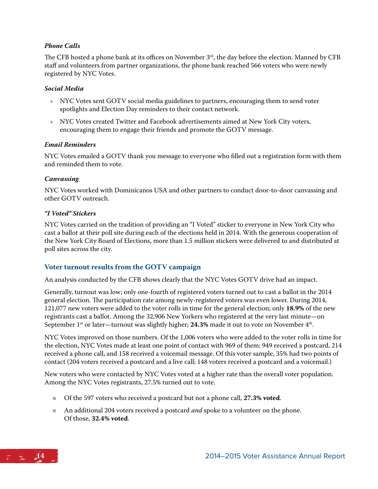#### *Phone Calls*

The CFB hosted a phone bank at its offices on November 3<sup>rd</sup>, the day before the election. Manned by CFB staff and volunteers from partner organizations, the phone bank reached 566 voters who were newly registered by NYC Votes.

#### *Social Media*

- **NYC Votes sent GOTV social media guidelines to partners, encouraging them to send voter** spotlights and Election Day reminders to their contact network.
- $N$  NYC Votes created Twitter and Facebook advertisements aimed at New York City voters, encouraging them to engage their friends and promote the GOTV message.

#### *Email Reminders*

NYC Votes emailed a GOTV thank you message to everyone who filled out a registration form with them and reminded them to vote.

#### *Canvassing*

NYC Votes worked with Dominicanos USA and other partners to conduct door-to-door canvassing and other GOTV outreach.

#### *"I Voted" Stickers*

NYC Votes carried on the tradition of providing an "I Voted" sticker to everyone in New York City who cast a ballot at their poll site during each of the elections held in 2014. With the generous cooperation of the New York City Board of Elections, more than 1.5 million stickers were delivered to and distributed at poll sites across the city.

#### **Voter turnout results from the GOTV campaign**

An analysis conducted by the CFB shows clearly that the NYC Votes GOTV drive had an impact.

Generally, turnout was low; only one-fourth of registered voters turned out to cast a ballot in the 2014 general election. The participation rate among newly-registered voters was even lower. During 2014, 121,077 new voters were added to the voter rolls in time for the general election; only **18.9%** of the new registrants cast a ballot. Among the 32,906 New Yorkers who registered at the very last minute—on September 1<sup>st</sup> or later—turnout was slightly higher; 24.3% made it out to vote on November 4<sup>th</sup>.

NYC Votes improved on those numbers. Of the 1,006 voters who were added to the voter rolls in time for the election, NYC Votes made at least one point of contact with 969 of them: 949 received a postcard, 214 received a phone call, and 158 received a voicemail message. Of this voter sample, 35% had two points of contact (204 voters received a postcard and a live call; 148 voters received a postcard and a voicemail.)

New voters who were contacted by NYC Votes voted at a higher rate than the overall voter population. Among the NYC Votes registrants, 27.5% turned out to vote.

- Λ Of the 597 voters who received a postcard but not a phone call, **27.3% voted**.
- Λ An additional 204 voters received a postcard *and* spoke to a volunteer on the phone. Of those, **32.4% voted**.

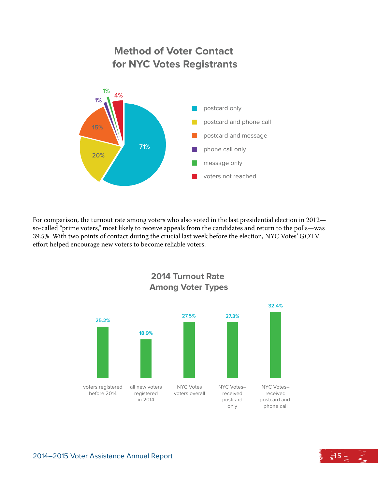

For comparison, the turnout rate among voters who also voted in the last presidential election in 2012 so-called "prime voters," most likely to receive appeals from the candidates and return to the polls—was 39.5%. With two points of contact during the crucial last week before the election, NYC Votes' GOTV effort helped encourage new voters to become reliable voters.



**2014 Turnout Rate Among Voter Types**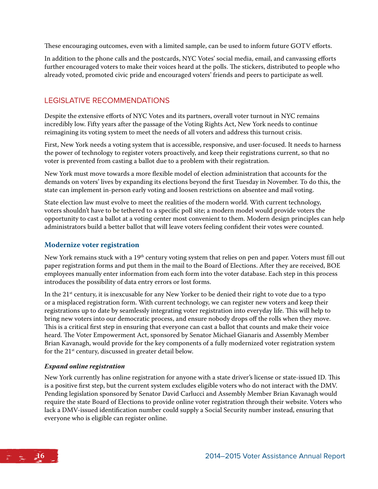These encouraging outcomes, even with a limited sample, can be used to inform future GOTV efforts.

In addition to the phone calls and the postcards, NYC Votes' social media, email, and canvassing efforts further encouraged voters to make their voices heard at the polls. The stickers, distributed to people who already voted, promoted civic pride and encouraged voters' friends and peers to participate as well.

#### Legislative Recommendations

Despite the extensive efforts of NYC Votes and its partners, overall voter turnout in NYC remains incredibly low. Fifty years after the passage of the Voting Rights Act, New York needs to continue reimagining its voting system to meet the needs of all voters and address this turnout crisis.

First, New York needs a voting system that is accessible, responsive, and user-focused. It needs to harness the power of technology to register voters proactively, and keep their registrations current, so that no voter is prevented from casting a ballot due to a problem with their registration.

New York must move towards a more flexible model of election administration that accounts for the demands on voters' lives by expanding its elections beyond the first Tuesday in November. To do this, the state can implement in-person early voting and loosen restrictions on absentee and mail voting.

State election law must evolve to meet the realities of the modern world. With current technology, voters shouldn't have to be tethered to a specific poll site; a modern model would provide voters the opportunity to cast a ballot at a voting center most convenient to them. Modern design principles can help administrators build a better ballot that will leave voters feeling confident their votes were counted.

#### **Modernize voter registration**

New York remains stuck with a 19<sup>th</sup> century voting system that relies on pen and paper. Voters must fill out paper registration forms and put them in the mail to the Board of Elections. After they are received, BOE employees manually enter information from each form into the voter database. Each step in this process introduces the possibility of data entry errors or lost forms.

In the  $21<sup>st</sup>$  century, it is inexcusable for any New Yorker to be denied their right to vote due to a typo or a misplaced registration form. With current technology, we can register new voters and keep their registrations up to date by seamlessly integrating voter registration into everyday life. This will help to bring new voters into our democratic process, and ensure nobody drops off the rolls when they move. This is a critical first step in ensuring that everyone can cast a ballot that counts and make their voice heard. The Voter Empowerment Act, sponsored by Senator Michael Gianaris and Assembly Member Brian Kavanagh, would provide for the key components of a fully modernized voter registration system for the 21<sup>st</sup> century, discussed in greater detail below.

#### *Expand online registration*

New York currently has online registration for anyone with a state driver's license or state-issued ID. This is a positive first step, but the current system excludes eligible voters who do not interact with the DMV. Pending legislation sponsored by Senator David Carlucci and Assembly Member Brian Kavanagh would require the state Board of Elections to provide online voter registration through their website. Voters who lack a DMV-issued identification number could supply a Social Security number instead, ensuring that everyone who is eligible can register online.

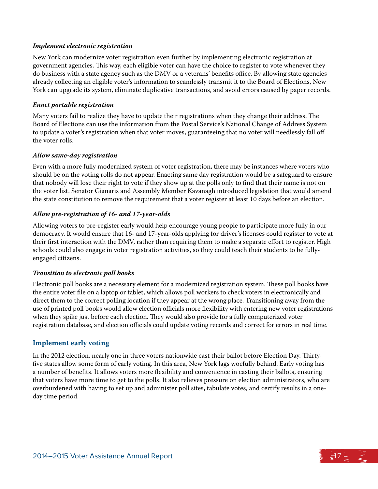#### *Implement electronic registration*

New York can modernize voter registration even further by implementing electronic registration at government agencies. This way, each eligible voter can have the choice to register to vote whenever they do business with a state agency such as the DMV or a veterans' benefits office. By allowing state agencies already collecting an eligible voter's information to seamlessly transmit it to the Board of Elections, New York can upgrade its system, eliminate duplicative transactions, and avoid errors caused by paper records.

#### *Enact portable registration*

Many voters fail to realize they have to update their registrations when they change their address. The Board of Elections can use the information from the Postal Service's National Change of Address System to update a voter's registration when that voter moves, guaranteeing that no voter will needlessly fall off the voter rolls.

#### *Allow same-day registration*

Even with a more fully modernized system of voter registration, there may be instances where voters who should be on the voting rolls do not appear. Enacting same day registration would be a safeguard to ensure that nobody will lose their right to vote if they show up at the polls only to find that their name is not on the voter list. Senator Gianaris and Assembly Member Kavanagh introduced legislation that would amend the state constitution to remove the requirement that a voter register at least 10 days before an election.

#### *Allow pre-registration of 16- and 17-year-olds*

Allowing voters to pre-register early would help encourage young people to participate more fully in our democracy. It would ensure that 16- and 17-year-olds applying for driver's licenses could register to vote at their first interaction with the DMV, rather than requiring them to make a separate effort to register. High schools could also engage in voter registration activities, so they could teach their students to be fullyengaged citizens.

#### *Transition to electronic poll books*

Electronic poll books are a necessary element for a modernized registration system. These poll books have the entire voter file on a laptop or tablet, which allows poll workers to check voters in electronically and direct them to the correct polling location if they appear at the wrong place. Transitioning away from the use of printed poll books would allow election officials more flexibility with entering new voter registrations when they spike just before each election. They would also provide for a fully computerized voter registration database, and election officials could update voting records and correct for errors in real time.

#### **Implement early voting**

In the 2012 election, nearly one in three voters nationwide cast their ballot before Election Day. Thirtyfive states allow some form of early voting. In this area, New York lags woefully behind. Early voting has a number of benefits. It allows voters more flexibility and convenience in casting their ballots, ensuring that voters have more time to get to the polls. It also relieves pressure on election administrators, who are overburdened with having to set up and administer poll sites, tabulate votes, and certify results in a oneday time period.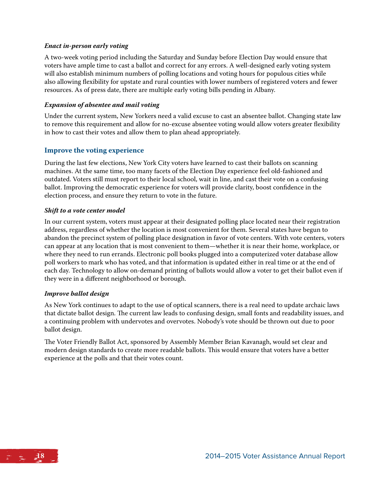#### *Enact in-person early voting*

A two-week voting period including the Saturday and Sunday before Election Day would ensure that voters have ample time to cast a ballot and correct for any errors. A well-designed early voting system will also establish minimum numbers of polling locations and voting hours for populous cities while also allowing flexibility for upstate and rural counties with lower numbers of registered voters and fewer resources. As of press date, there are multiple early voting bills pending in Albany.

#### *Expansion of absentee and mail voting*

Under the current system, New Yorkers need a valid excuse to cast an absentee ballot. Changing state law to remove this requirement and allow for no-excuse absentee voting would allow voters greater flexibility in how to cast their votes and allow them to plan ahead appropriately.

#### **Improve the voting experience**

During the last few elections, New York City voters have learned to cast their ballots on scanning machines. At the same time, too many facets of the Election Day experience feel old-fashioned and outdated. Voters still must report to their local school, wait in line, and cast their vote on a confusing ballot. Improving the democratic experience for voters will provide clarity, boost confidence in the election process, and ensure they return to vote in the future.

#### *Shift to a vote center model*

In our current system, voters must appear at their designated polling place located near their registration address, regardless of whether the location is most convenient for them. Several states have begun to abandon the precinct system of polling place designation in favor of vote centers. With vote centers, voters can appear at any location that is most convenient to them—whether it is near their home, workplace, or where they need to run errands. Electronic poll books plugged into a computerized voter database allow poll workers to mark who has voted, and that information is updated either in real time or at the end of each day. Technology to allow on-demand printing of ballots would allow a voter to get their ballot even if they were in a different neighborhood or borough.

#### *Improve ballot design*

As New York continues to adapt to the use of optical scanners, there is a real need to update archaic laws that dictate ballot design. The current law leads to confusing design, small fonts and readability issues, and a continuing problem with undervotes and overvotes. Nobody's vote should be thrown out due to poor ballot design.

The Voter Friendly Ballot Act, sponsored by Assembly Member Brian Kavanagh, would set clear and modern design standards to create more readable ballots. This would ensure that voters have a better experience at the polls and that their votes count.